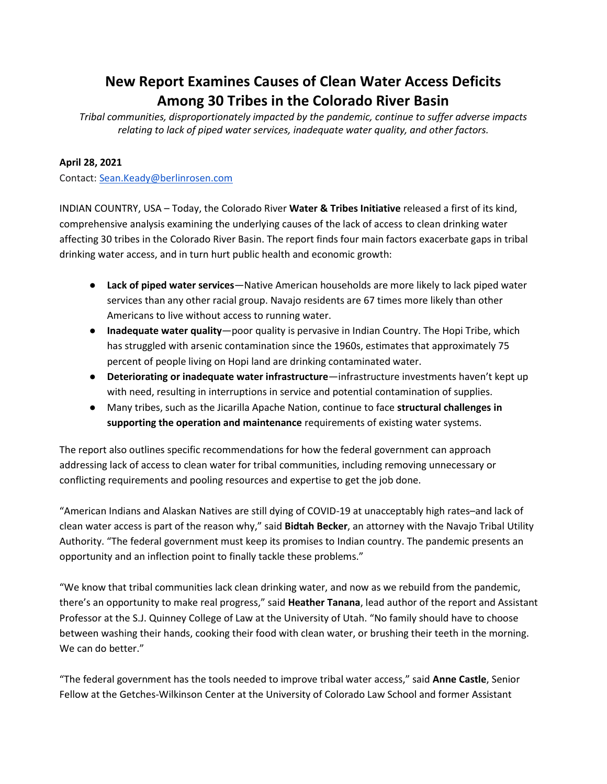## **New Report Examines Causes of Clean Water Access Deficits Among 30 Tribes in the Colorado River Basin**

*Tribal communities, disproportionately impacted by the pandemic, continue to suffer adverse impacts relating to lack of piped water services, inadequate water quality, and other factors.*

## **April 28, 2021**

Contact: [Sean.Keady@berlinrosen.com](mailto:Sean.Keady@berlinrosen.com)

INDIAN COUNTRY, USA – Today, the Colorado River **Water & Tribes Initiative** released a first of its kind, comprehensive analysis examining the underlying causes of the lack of access to clean drinking water affecting 30 tribes in the Colorado River Basin. The report finds four main factors exacerbate gaps in tribal drinking water access, and in turn hurt public health and economic growth:

- **Lack of piped water services**—Native American households are more likely to lack piped water services than any other racial group. Navajo residents are 67 times more likely than other Americans to live without access to running water.
- **Inadequate water quality**—poor quality is pervasive in Indian Country. The Hopi Tribe, which has struggled with arsenic contamination since the 1960s, estimates that approximately 75 percent of people living on Hopi land are drinking contaminated water.
- **Deteriorating or inadequate water infrastructure**—infrastructure investments haven't kept up with need, resulting in interruptions in service and potential contamination of supplies.
- Many tribes, such as the Jicarilla Apache Nation, continue to face **structural challenges in supporting the operation and maintenance** requirements of existing water systems.

The report also outlines specific recommendations for how the federal government can approach addressing lack of access to clean water for tribal communities, including removing unnecessary or conflicting requirements and pooling resources and expertise to get the job done.

"American Indians and Alaskan Natives are still dying of COVID-19 at unacceptably high rates–and lack of clean water access is part of the reason why," said **Bidtah Becker**, an attorney with the Navajo Tribal Utility Authority. "The federal government must keep its promises to Indian country. The pandemic presents an opportunity and an inflection point to finally tackle these problems."

"We know that tribal communities lack clean drinking water, and now as we rebuild from the pandemic, there's an opportunity to make real progress," said **Heather Tanana**, lead author of the report and Assistant Professor at the S.J. Quinney College of Law at the University of Utah. "No family should have to choose between washing their hands, cooking their food with clean water, or brushing their teeth in the morning. We can do better."

"The federal government has the tools needed to improve tribal water access," said **Anne Castle**, Senior Fellow at the Getches-Wilkinson Center at the University of Colorado Law School and former Assistant